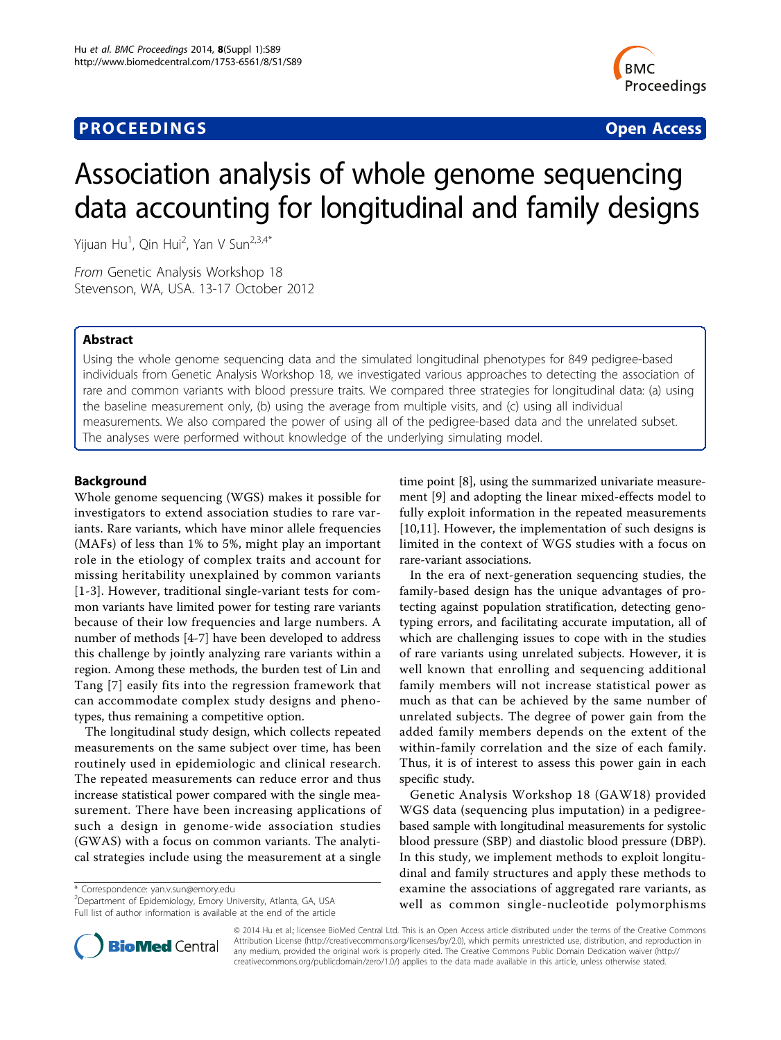## **PROCEEDINGS CONSUMING S** Open Access **CONSUMING S**



# Association analysis of whole genome sequencing data accounting for longitudinal and family designs

Yijuan Hu<sup>1</sup>, Qin Hui<sup>2</sup>, Yan V Sun<sup>2,3,4\*</sup>

From Genetic Analysis Workshop 18 Stevenson, WA, USA. 13-17 October 2012

## Abstract

Using the whole genome sequencing data and the simulated longitudinal phenotypes for 849 pedigree-based individuals from Genetic Analysis Workshop 18, we investigated various approaches to detecting the association of rare and common variants with blood pressure traits. We compared three strategies for longitudinal data: (a) using the baseline measurement only, (b) using the average from multiple visits, and (c) using all individual measurements. We also compared the power of using all of the pedigree-based data and the unrelated subset. The analyses were performed without knowledge of the underlying simulating model.

## Background

Whole genome sequencing (WGS) makes it possible for investigators to extend association studies to rare variants. Rare variants, which have minor allele frequencies (MAFs) of less than 1% to 5%, might play an important role in the etiology of complex traits and account for missing heritability unexplained by common variants [[1](#page-5-0)-[3\]](#page-5-0). However, traditional single-variant tests for common variants have limited power for testing rare variants because of their low frequencies and large numbers. A number of methods [\[4-7](#page-5-0)] have been developed to address this challenge by jointly analyzing rare variants within a region. Among these methods, the burden test of Lin and Tang [[7](#page-5-0)] easily fits into the regression framework that can accommodate complex study designs and phenotypes, thus remaining a competitive option.

The longitudinal study design, which collects repeated measurements on the same subject over time, has been routinely used in epidemiologic and clinical research. The repeated measurements can reduce error and thus increase statistical power compared with the single measurement. There have been increasing applications of such a design in genome-wide association studies (GWAS) with a focus on common variants. The analytical strategies include using the measurement at a single

\* Correspondence: [yan.v.sun@emory.edu](mailto:yan.v.sun@emory.edu)

2 Department of Epidemiology, Emory University, Atlanta, GA, USA Full list of author information is available at the end of the article time point [[8\]](#page-5-0), using the summarized univariate measurement [\[9](#page-5-0)] and adopting the linear mixed-effects model to fully exploit information in the repeated measurements [[10,11](#page-6-0)]. However, the implementation of such designs is limited in the context of WGS studies with a focus on rare-variant associations.

In the era of next-generation sequencing studies, the family-based design has the unique advantages of protecting against population stratification, detecting genotyping errors, and facilitating accurate imputation, all of which are challenging issues to cope with in the studies of rare variants using unrelated subjects. However, it is well known that enrolling and sequencing additional family members will not increase statistical power as much as that can be achieved by the same number of unrelated subjects. The degree of power gain from the added family members depends on the extent of the within-family correlation and the size of each family. Thus, it is of interest to assess this power gain in each specific study.

Genetic Analysis Workshop 18 (GAW18) provided WGS data (sequencing plus imputation) in a pedigreebased sample with longitudinal measurements for systolic blood pressure (SBP) and diastolic blood pressure (DBP). In this study, we implement methods to exploit longitudinal and family structures and apply these methods to examine the associations of aggregated rare variants, as well as common single-nucleotide polymorphisms



© 2014 Hu et al.; licensee BioMed Central Ltd. This is an Open Access article distributed under the terms of the Creative Commons Attribution License [\(http://creativecommons.org/licenses/by/2.0](http://creativecommons.org/licenses/by/2.0)), which permits unrestricted use, distribution, and reproduction in any medium, provided the original work is properly cited. The Creative Commons Public Domain Dedication waiver [\(http://](http://creativecommons.org/publicdomain/zero/1.0/) [creativecommons.org/publicdomain/zero/1.0/](http://creativecommons.org/publicdomain/zero/1.0/)) applies to the data made available in this article, unless otherwise stated.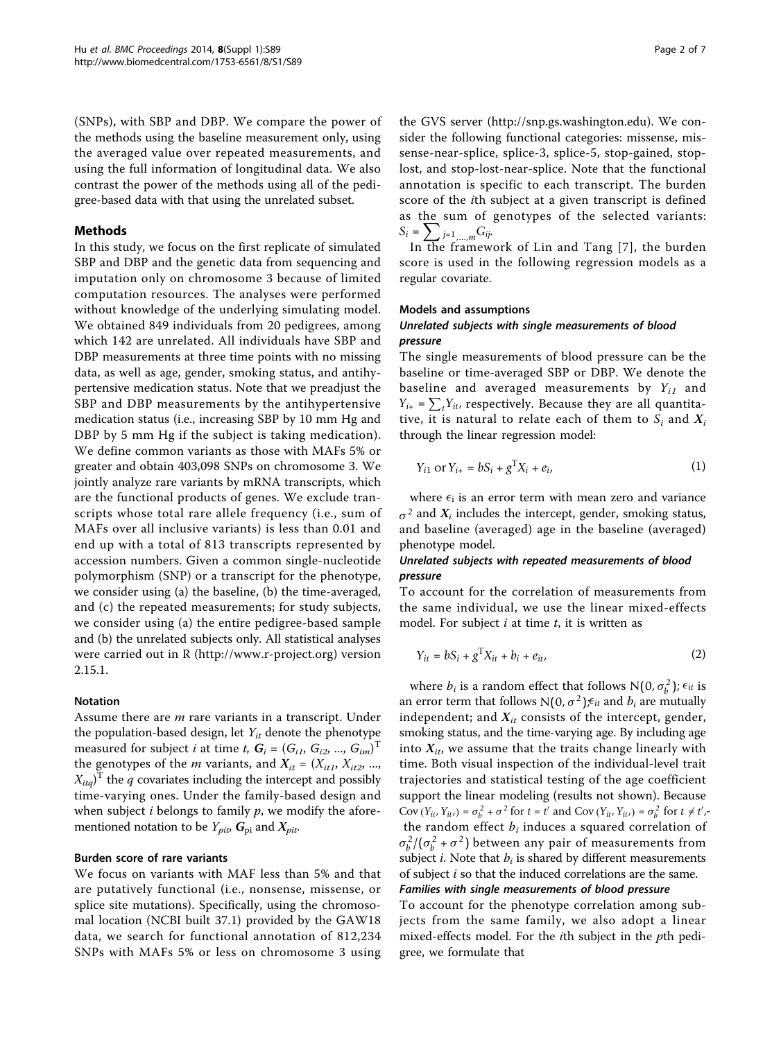(SNPs), with SBP and DBP. We compare the power of the methods using the baseline measurement only, using the averaged value over repeated measurements, and using the full information of longitudinal data. We also contrast the power of the methods using all of the pedigree-based data with that using the unrelated subset.

#### Methods

In this study, we focus on the first replicate of simulated SBP and DBP and the genetic data from sequencing and imputation only on chromosome 3 because of limited computation resources. The analyses were performed without knowledge of the underlying simulating model. We obtained 849 individuals from 20 pedigrees, among which 142 are unrelated. All individuals have SBP and DBP measurements at three time points with no missing data, as well as age, gender, smoking status, and antihypertensive medication status. Note that we preadjust the SBP and DBP measurements by the antihypertensive medication status (i.e., increasing SBP by 10 mm Hg and DBP by 5 mm Hg if the subject is taking medication). We define common variants as those with MAFs 5% or greater and obtain 403,098 SNPs on chromosome 3. We jointly analyze rare variants by mRNA transcripts, which are the functional products of genes. We exclude transcripts whose total rare allele frequency (i.e., sum of MAFs over all inclusive variants) is less than 0.01 and end up with a total of 813 transcripts represented by accession numbers. Given a common single-nucleotide polymorphism (SNP) or a transcript for the phenotype, we consider using (a) the baseline, (b) the time-averaged, and (c) the repeated measurements; for study subjects, we consider using (a) the entire pedigree-based sample and (b) the unrelated subjects only. All statistical analyses were carried out in R [\(http://www.r-project.org](http://www.r-project.org)) version 2.15.1.

#### Notation

Assume there are  $m$  rare variants in a transcript. Under the population-based design, let  $Y_{it}$  denote the phenotype measured for subject *i* at time *t*,  $G_i = (G_{i1}, G_{i2}, ..., G_{im})^T$ <br>the genotypes of the *m* variants and  $X_i = (X_i, X_j)$ the genotypes of the *m* variants, and  $X_{it} = (X_{it1}, X_{it2}, \ldots, X_{itm})$  $X_{itq}$ <sup>T</sup> the q covariates including the intercept and possibly time varying ones. Under the family based design and time-varying ones. Under the family-based design and when subject  $i$  belongs to family  $p$ , we modify the aforementioned notation to be  $Y_{pi}$ ,  $G_{pi}$  and  $X_{pit}$ .

#### Burden score of rare variants

We focus on variants with MAF less than 5% and that are putatively functional (i.e., nonsense, missense, or splice site mutations). Specifically, using the chromosomal location (NCBI built 37.1) provided by the GAW18 data, we search for functional annotation of 812,234 SNPs with MAFs 5% or less on chromosome 3 using

the GVS server (<http://snp.gs.washington.edu>). We consider the following functional categories: missense, missense-near-splice, splice-3, splice-5, stop-gained, stoplost, and stop-lost-near-splice. Note that the functional annotation is specific to each transcript. The burden score of the ith subject at a given transcript is defined as the sum of genotypes of the selected variants:  $S_i = \sum_{j=1,...,m} G_{ij}$ .

In the framework of Lin and Tang [[7](#page-5-0)], the burden score is used in the following regression models as a regular covariate.

#### Models and assumptions

## Unrelated subjects with single measurements of blood pressure

The single measurements of blood pressure can be the baseline or time-averaged SBP or DBP. We denote the baseline and averaged measurements by  $Y_{i1}$  and  $Y_{i+} = \sum_{t} Y_{it}$ , respectively. Because they are all quantitative, it is natural to relate each of them to  $S_i$  and  $X_i$ through the linear regression model:

$$
Y_{i1} \text{ or } Y_{i+} = bS_i + g^{\mathrm{T}} X_i + e_i,
$$
 (1)

where  $\epsilon$ <sub>i</sub> is an error term with mean zero and variance  $\sigma^2$  and  $X_i$  includes the intercept, gender, smoking status, and baseline (averaged) age in the baseline (averaged) phenotype model.

## Unrelated subjects with repeated measurements of blood pressure

To account for the correlation of measurements from the same individual, we use the linear mixed-effects model. For subject  $i$  at time  $t$ , it is written as

$$
Y_{it} = bS_i + g^{\mathrm{T}}X_{it} + b_i + e_{it}, \qquad (2)
$$

where  $b_i$  is a random effect that follows  $N(0, \sigma_b^2)$ ;  $\epsilon_{ii}$  is<br>*p* error term that follows  $N(0, \sigma_b^2)$ ; and *h* are mutually an error term that follows  $N(0, \sigma^2) \neq \iota$  and  $b_i$  are mutually independent; and  $Y_c$  consists of the intercent gender independent; and  $X_{it}$  consists of the intercept, gender, smoking status, and the time-varying age. By including age into  $X_{it}$ , we assume that the traits change linearly with time. Both visual inspection of the individual-level trait trajectories and statistical testing of the age coefficient support the linear modeling (results not shown). Because Cov  $(Y_{it}, Y_{it}) = \sigma_b^2 + \sigma^2$  for  $t = t'$  and Cov  $(Y_{it}, Y_{it}) = \sigma_b^2$  for  $t \neq t'$ , the random effect  $b_i$  induces a squared correlation of  $\sigma_b^2/(\sigma_b^2 + \sigma^2)$  between any pair of measurements from subject *i*. Note that  $b_i$  is shared by different measurements of subject i so that the induced correlations are the same.

## Families with single measurements of blood pressure

To account for the phenotype correlation among subjects from the same family, we also adopt a linear mixed-effects model. For the ith subject in the pth pedigree, we formulate that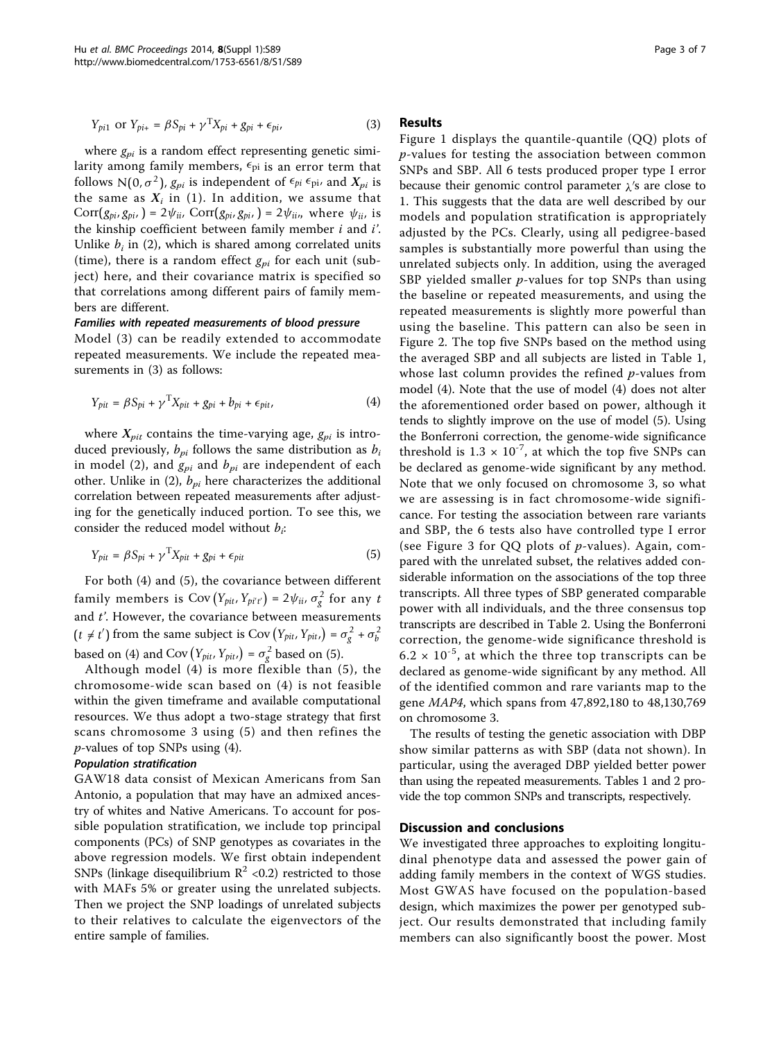$$
Y_{pi1} \text{ or } Y_{pi+} = \beta S_{pi} + \gamma^{\mathrm{T}} X_{pi} + g_{pi} + \epsilon_{pi}, \tag{3}
$$

where  $g_{ni}$  is a random effect representing genetic similarity among family members,  $\epsilon_{\mathrm{pi}}$  is an error term that follows  $N(0, \sigma^2)$ ,  $g_{pi}$  is independent of  $\epsilon_{pi}$   $\epsilon_{pi}$ , and  $X_{pi}$  is the same as  $Y_{\text{c}}$ , in (1) In addition, we assume that the same as  $X_i$  in (1). In addition, we assume that  $Corr(g_{\text{pi}}, g_{\text{pi}}) = 2\psi_{\text{ii}}$ ,  $Corr(g_{\text{pi}}, g_{\text{pi}}) = 2\psi_{\text{ii}}$ , where  $\psi_{\text{ii}}$ , is the kinship coefficient between family member  $i$  and  $i'$ . Unlike  $b_i$  in (2), which is shared among correlated units (time), there is a random effect  $g_{pi}$  for each unit (subject) here, and their covariance matrix is specified so that correlations among different pairs of family members are different.

#### Families with repeated measurements of blood pressure

Model (3) can be readily extended to accommodate repeated measurements. We include the repeated measurements in (3) as follows:

$$
Y_{pit} = \beta S_{pi} + \gamma^{\mathrm{T}} X_{pit} + g_{pi} + b_{pi} + \epsilon_{pit}, \tag{4}
$$

where  $X_{pit}$  contains the time-varying age,  $g_{pi}$  is introduced previously,  $b_{pi}$  follows the same distribution as  $b_i$ in model (2), and  $g_{pi}$  and  $b_{pi}$  are independent of each other. Unlike in (2),  $b_{pi}$  here characterizes the additional correlation between repeated measurements after adjusting for the genetically induced portion. To see this, we consider the reduced model without  $b_i$ :

$$
Y_{pit} = \beta S_{pi} + \gamma^{\mathrm{T}} X_{pit} + g_{pi} + \epsilon_{pit} \tag{5}
$$

For both (4) and (5), the covariance between different family members is  $Cov(Y_{pit}, Y_{pit'}) = 2\psi_{ii}$ ,  $\sigma_g^2$  for any t and  $t'$ . However, the covariance between measurements  $(t \neq t')$  from the same subject is Cov  $(Y_{pit}, Y_{pit}) = \sigma_g^2 + \sigma_b^2$ based on (4) and Cov  $(Y_{pit}, Y_{pit}) = \sigma_g^2$  based on (5).

Although model (4) is more flexible than (5), the chromosome-wide scan based on (4) is not feasible within the given timeframe and available computational resources. We thus adopt a two-stage strategy that first scans chromosome 3 using (5) and then refines the p-values of top SNPs using (4).

#### Population stratification

GAW18 data consist of Mexican Americans from San Antonio, a population that may have an admixed ancestry of whites and Native Americans. To account for possible population stratification, we include top principal components (PCs) of SNP genotypes as covariates in the above regression models. We first obtain independent SNPs (linkage disequilibrium  $\mathbb{R}^2$  <0.2) restricted to those with MAFs 5% or greater using the unrelated subjects. Then we project the SNP loadings of unrelated subjects to their relatives to calculate the eigenvectors of the entire sample of families.

#### Results

Figure [1](#page-3-0) displays the quantile-quantile (QQ) plots of p-values for testing the association between common SNPs and SBP. All 6 tests produced proper type I error because their genomic control parameter  $\lambda$ 's are close to 1. This suggests that the data are well described by our models and population stratification is appropriately adjusted by the PCs. Clearly, using all pedigree-based samples is substantially more powerful than using the unrelated subjects only. In addition, using the averaged SBP yielded smaller  $p$ -values for top SNPs than using the baseline or repeated measurements, and using the repeated measurements is slightly more powerful than using the baseline. This pattern can also be seen in Figure [2](#page-3-0). The top five SNPs based on the method using the averaged SBP and all subjects are listed in Table [1](#page-4-0), whose last column provides the refined p-values from model (4). Note that the use of model (4) does not alter the aforementioned order based on power, although it tends to slightly improve on the use of model (5). Using the Bonferroni correction, the genome-wide significance threshold is  $1.3 \times 10^{-7}$ , at which the top five SNPs can be declared as genome-wide significant by any method. Note that we only focused on chromosome 3, so what we are assessing is in fact chromosome-wide significance. For testing the association between rare variants and SBP, the 6 tests also have controlled type I error (see Figure [3](#page-4-0) for QQ plots of p-values). Again, compared with the unrelated subset, the relatives added considerable information on the associations of the top three transcripts. All three types of SBP generated comparable power with all individuals, and the three consensus top transcripts are described in Table [2](#page-5-0). Using the Bonferroni correction, the genome-wide significance threshold is  $6.2 \times 10^{-5}$ , at which the three top transcripts can be declared as genome-wide significant by any method. All of the identified common and rare variants map to the gene MAP4, which spans from 47,892,180 to 48,130,769 on chromosome 3.

The results of testing the genetic association with DBP show similar patterns as with SBP (data not shown). In particular, using the averaged DBP yielded better power than using the repeated measurements. Tables [1](#page-4-0) and [2](#page-5-0) provide the top common SNPs and transcripts, respectively.

### Discussion and conclusions

We investigated three approaches to exploiting longitudinal phenotype data and assessed the power gain of adding family members in the context of WGS studies. Most GWAS have focused on the population-based design, which maximizes the power per genotyped subject. Our results demonstrated that including family members can also significantly boost the power. Most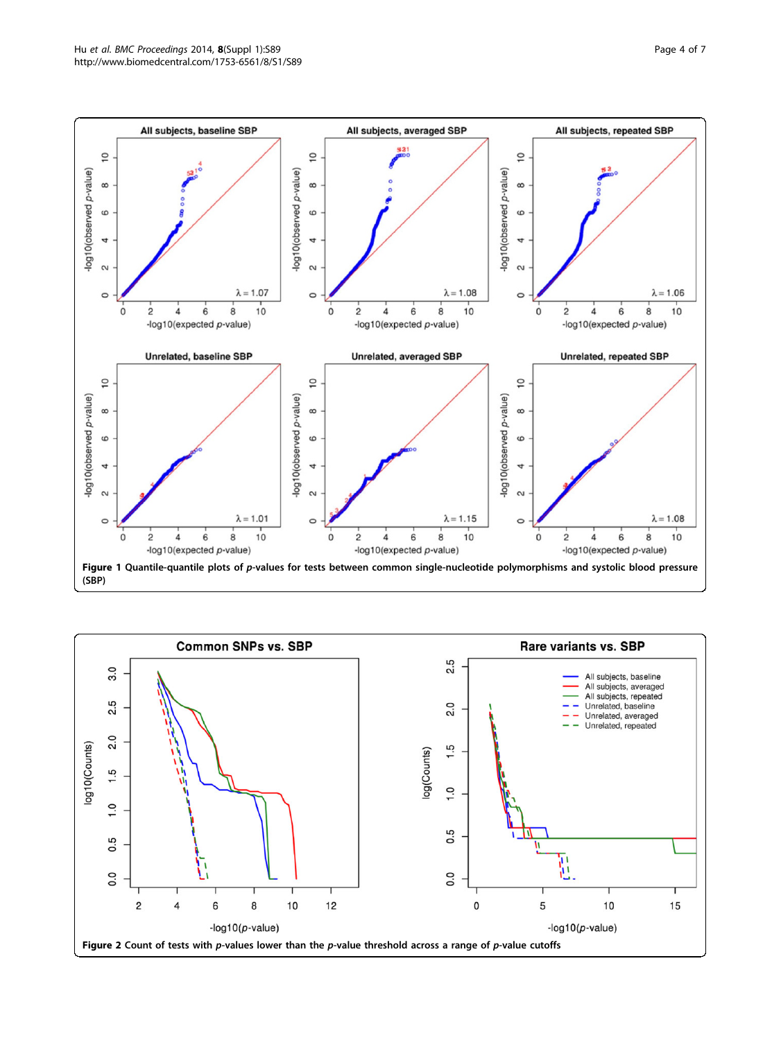<span id="page-3-0"></span>

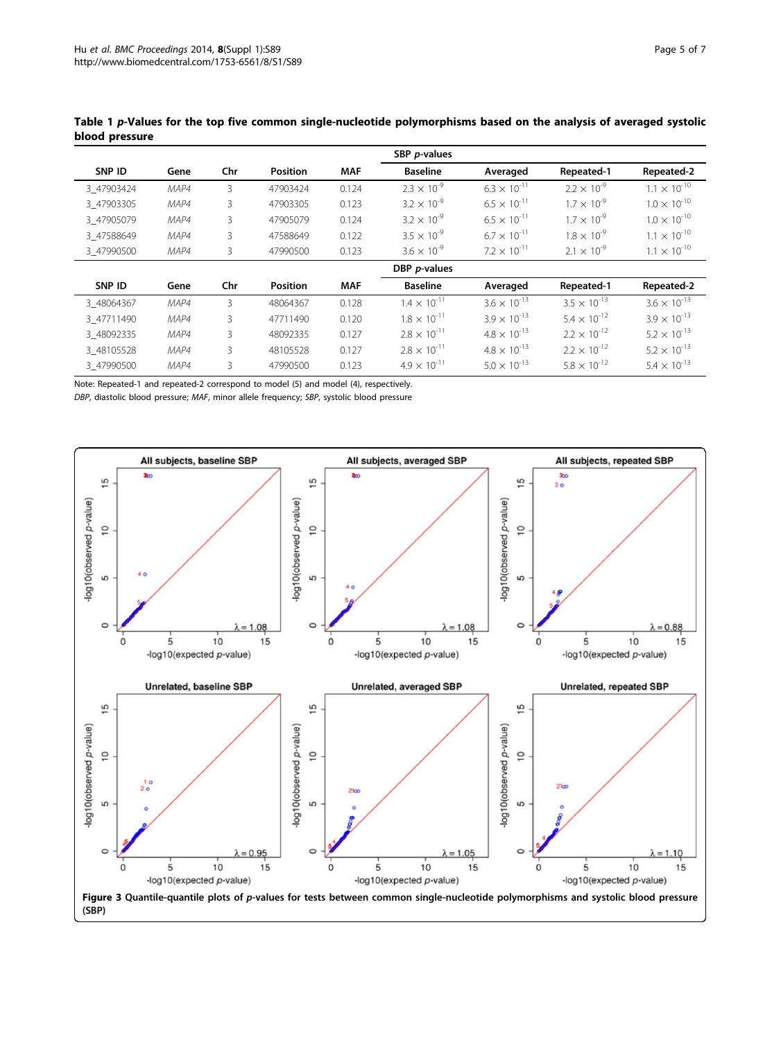|               |      |     |                 |            | SBP <i>p</i> -values  |                       |                       |                       |
|---------------|------|-----|-----------------|------------|-----------------------|-----------------------|-----------------------|-----------------------|
| SNP ID        | Gene | Chr | <b>Position</b> | <b>MAF</b> | <b>Baseline</b>       | Averaged              | Repeated-1            | Repeated-2            |
| 3 47903424    | MAP4 | 3   | 47903424        | 0.124      | $2.3 \times 10^{-9}$  | $6.3 \times 10^{-11}$ | $2.2 \times 10^{-9}$  | $1.1 \times 10^{-10}$ |
| 3 47903305    | MAP4 | 3   | 47903305        | 0.123      | $3.2 \times 10^{-9}$  | $6.5 \times 10^{-11}$ | $1.7 \times 10^{-9}$  | $1.0 \times 10^{-10}$ |
| 3 47905079    | MAP4 | 3   | 47905079        | 0.124      | $3.2 \times 10^{-9}$  | $6.5 \times 10^{-11}$ | $1.7 \times 10^{-9}$  | $1.0 \times 10^{-10}$ |
| 3 47588649    | MAP4 | 3   | 47588649        | 0.122      | $3.5 \times 10^{-9}$  | $6.7 \times 10^{-11}$ | $1.8 \times 10^{-9}$  | $1.1 \times 10^{-10}$ |
| 3 47990500    | MAP4 | 3   | 47990500        | 0.123      | $3.6 \times 10^{-9}$  | $7.2 \times 10^{-11}$ | $2.1 \times 10^{-9}$  | $1.1 \times 10^{-10}$ |
|               |      |     |                 |            | DBP <i>p</i> -values  |                       |                       |                       |
| <b>SNP ID</b> | Gene | Chr | <b>Position</b> | <b>MAF</b> | <b>Baseline</b>       | Averaged              | Repeated-1            | Repeated-2            |
| 3 48064367    | MAP4 | 3   | 48064367        | 0.128      | $1.4 \times 10^{-11}$ | $3.6 \times 10^{-13}$ | $3.5 \times 10^{-13}$ | $3.6 \times 10^{-13}$ |
| 3 47711490    | MAP4 | 3   | 47711490        | 0.120      | $1.8 \times 10^{-11}$ | $3.9 \times 10^{-13}$ | $5.4 \times 10^{-12}$ | $3.9 \times 10^{-13}$ |
| 3 48092335    | MAP4 | 3   | 48092335        | 0.127      | $2.8 \times 10^{-11}$ | $4.8 \times 10^{-13}$ | $2.2 \times 10^{-12}$ | $5.2 \times 10^{-13}$ |
| 3 48105528    | MAP4 | 3   | 48105528        | 0.127      | $2.8 \times 10^{-11}$ | $4.8 \times 10^{-13}$ | $2.2 \times 10^{-12}$ | $5.2 \times 10^{-13}$ |
| 3 47990500    | MAP4 | 3   | 47990500        | 0.123      | $4.9 \times 10^{-11}$ | $5.0 \times 10^{-13}$ | $5.8 \times 10^{-12}$ | $5.4 \times 10^{-13}$ |

<span id="page-4-0"></span>Table 1 p-Values for the top five common single-nucleotide polymorphisms based on the analysis of averaged systolic blood pressure

Note: Repeated-1 and repeated-2 correspond to model (5) and model (4), respectively.

DBP, diastolic blood pressure; MAF, minor allele frequency; SBP, systolic blood pressure

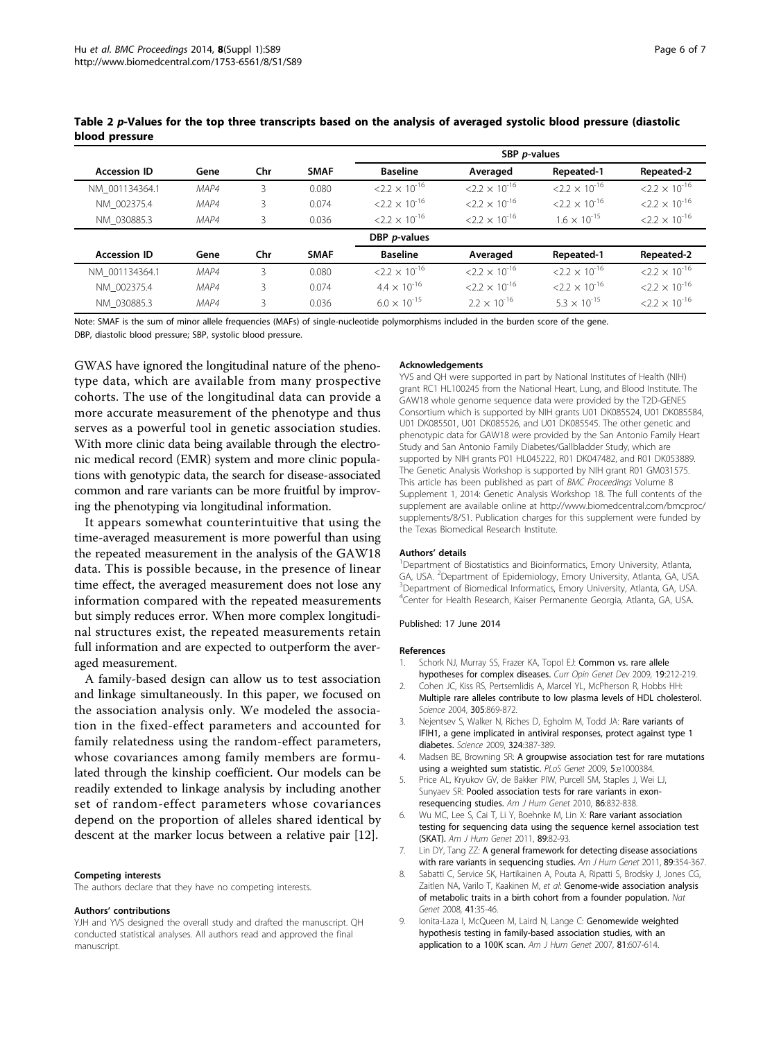|                     |      |     |             | SBP <i>p</i> -values               |                                    |                                    |                                    |  |
|---------------------|------|-----|-------------|------------------------------------|------------------------------------|------------------------------------|------------------------------------|--|
| <b>Accession ID</b> | Gene | Chr | <b>SMAF</b> | <b>Baseline</b>                    | Averaged                           | Repeated-1                         | Repeated-2                         |  |
| NM 001134364.1      | MAP4 | 3   | 0.080       | $<$ 2.2 $\times$ 10 <sup>-16</sup> | $< 2.2 \times 10^{-16}$            | $< 2.2 \times 10^{-16}$            | $<$ 2.2 $\times$ 10 <sup>-16</sup> |  |
| NM 002375.4         | MAP4 | 3   | 0.074       | $<$ 2.2 $\times$ 10 <sup>-16</sup> | $<$ 2.2 $\times$ 10 <sup>-16</sup> | $<$ 2.2 $\times$ 10 <sup>-16</sup> | $<$ 2.2 $\times$ 10 <sup>-16</sup> |  |
| NM 030885.3         | MAP4 | 3   | 0.036       | $<$ 2.2 $\times$ 10 <sup>-16</sup> | $< 2.2 \times 10^{-16}$            | $1.6 \times 10^{-15}$              | $<$ 2.2 $\times$ 10 <sup>-16</sup> |  |
|                     |      |     |             | DBP <i>p</i> -values               |                                    |                                    |                                    |  |
| <b>Accession ID</b> | Gene | Chr | <b>SMAF</b> | <b>Baseline</b>                    | Averaged                           | Repeated-1                         | Repeated-2                         |  |
| NM 001134364.1      | MAP4 | 3   | 0.080       | $<$ 2.2 $\times$ 10 <sup>-16</sup> | $<$ 2.2 $\times$ 10 <sup>-16</sup> | $<$ 2.2 $\times$ 10 <sup>-16</sup> | $<$ 2.2 $\times$ 10 <sup>-16</sup> |  |
| NM 002375.4         | MAP4 | 3   | 0.074       | $4.4 \times 10^{-16}$              | $<$ 2.2 $\times$ 10 <sup>-16</sup> | $<$ 2.2 $\times$ 10 <sup>-16</sup> | $<$ 2.2 $\times$ 10 <sup>-16</sup> |  |
| NM 030885.3         | MAP4 | 3   | 0.036       | $6.0 \times 10^{-15}$              | $2.2 \times 10^{-16}$              | $5.3 \times 10^{-15}$              | $<$ 2.2 $\times$ 10 <sup>-16</sup> |  |

#### <span id="page-5-0"></span>Table 2 p-Values for the top three transcripts based on the analysis of averaged systolic blood pressure (diastolic blood pressure

Note: SMAF is the sum of minor allele frequencies (MAFs) of single-nucleotide polymorphisms included in the burden score of the gene. DBP, diastolic blood pressure; SBP, systolic blood pressure.

GWAS have ignored the longitudinal nature of the phenotype data, which are available from many prospective cohorts. The use of the longitudinal data can provide a more accurate measurement of the phenotype and thus serves as a powerful tool in genetic association studies. With more clinic data being available through the electronic medical record (EMR) system and more clinic populations with genotypic data, the search for disease-associated common and rare variants can be more fruitful by improving the phenotyping via longitudinal information.

It appears somewhat counterintuitive that using the time-averaged measurement is more powerful than using the repeated measurement in the analysis of the GAW18 data. This is possible because, in the presence of linear time effect, the averaged measurement does not lose any information compared with the repeated measurements but simply reduces error. When more complex longitudinal structures exist, the repeated measurements retain full information and are expected to outperform the averaged measurement.

A family-based design can allow us to test association and linkage simultaneously. In this paper, we focused on the association analysis only. We modeled the association in the fixed-effect parameters and accounted for family relatedness using the random-effect parameters, whose covariances among family members are formulated through the kinship coefficient. Our models can be readily extended to linkage analysis by including another set of random-effect parameters whose covariances depend on the proportion of alleles shared identical by descent at the marker locus between a relative pair [\[12](#page-6-0)].

#### Competing interests

The authors declare that they have no competing interests.

#### Authors' contributions

YJH and YVS designed the overall study and drafted the manuscript. QH conducted statistical analyses. All authors read and approved the final manuscript.

#### Acknowledgements

YVS and QH were supported in part by National Institutes of Health (NIH) grant RC1 HL100245 from the National Heart, Lung, and Blood Institute. The GAW18 whole genome sequence data were provided by the T2D-GENES Consortium which is supported by NIH grants U01 DK085524, U01 DK085584, U01 DK085501, U01 DK085526, and U01 DK085545. The other genetic and phenotypic data for GAW18 were provided by the San Antonio Family Heart Study and San Antonio Family Diabetes/Gallbladder Study, which are supported by NIH grants P01 HL045222, R01 DK047482, and R01 DK053889. The Genetic Analysis Workshop is supported by NIH grant R01 GM031575. This article has been published as part of BMC Proceedings Volume 8 Supplement 1, 2014: Genetic Analysis Workshop 18. The full contents of the supplement are available online at [http://www.biomedcentral.com/bmcproc/](http://www.biomedcentral.com/bmcproc/supplements/8/S1) [supplements/8/S1.](http://www.biomedcentral.com/bmcproc/supplements/8/S1) Publication charges for this supplement were funded by the Texas Biomedical Research Institute.

#### Authors' details <sup>1</sup>

<sup>1</sup>Department of Biostatistics and Bioinformatics, Emory University, Atlanta, GA, USA. <sup>2</sup>Department of Epidemiology, Emory University, Atlanta, GA, USA.<br><sup>3</sup>Department of Biomedical Informatics, Emory University, Atlanta, GA, USA. <sup>3</sup>Department of Biomedical Informatics, Emory University, Atlanta, GA, USA. 4 Center for Health Research, Kaiser Permanente Georgia, Atlanta, GA, USA.

#### Published: 17 June 2014

#### References

- Schork NJ, Murray SS, Frazer KA, Topol EJ: [Common vs. rare allele](http://www.ncbi.nlm.nih.gov/pubmed/19481926?dopt=Abstract) [hypotheses for complex diseases.](http://www.ncbi.nlm.nih.gov/pubmed/19481926?dopt=Abstract) Curr Opin Genet Dev 2009, 19:212-219.
- 2. Cohen JC, Kiss RS, Pertsemlidis A, Marcel YL, McPherson R, Hobbs HH: [Multiple rare alleles contribute to low plasma levels of HDL cholesterol.](http://www.ncbi.nlm.nih.gov/pubmed/15297675?dopt=Abstract) Science 2004, 305:869-872.
- 3. Nejentsev S, Walker N, Riches D, Egholm M, Todd JA: [Rare variants of](http://www.ncbi.nlm.nih.gov/pubmed/19264985?dopt=Abstract) [IFIH1, a gene implicated in antiviral responses, protect against type 1](http://www.ncbi.nlm.nih.gov/pubmed/19264985?dopt=Abstract) [diabetes.](http://www.ncbi.nlm.nih.gov/pubmed/19264985?dopt=Abstract) Science 2009, 324:387-389.
- 4. Madsen BE, Browning SR: [A groupwise association test for rare mutations](http://www.ncbi.nlm.nih.gov/pubmed/19214210?dopt=Abstract) [using a weighted sum statistic.](http://www.ncbi.nlm.nih.gov/pubmed/19214210?dopt=Abstract) PLoS Genet 2009, 5:e1000384
- 5. Price AL, Kryukov GV, de Bakker PIW, Purcell SM, Staples J, Wei LJ, Sunyaev SR: [Pooled association tests for rare variants in exon](http://www.ncbi.nlm.nih.gov/pubmed/20471002?dopt=Abstract)[resequencing studies.](http://www.ncbi.nlm.nih.gov/pubmed/20471002?dopt=Abstract) Am J Hum Genet 2010, 86:832-838.
- 6. Wu MC, Lee S, Cai T, Li Y, Boehnke M, Lin X: [Rare variant association](http://www.ncbi.nlm.nih.gov/pubmed/21737059?dopt=Abstract) [testing for sequencing data using the sequence kernel association test](http://www.ncbi.nlm.nih.gov/pubmed/21737059?dopt=Abstract) [\(SKAT\).](http://www.ncbi.nlm.nih.gov/pubmed/21737059?dopt=Abstract) Am J Hum Genet 2011, 89:82-93.
- 7. Lin DY, Tang ZZ: [A general framework for detecting disease associations](http://www.ncbi.nlm.nih.gov/pubmed/21885029?dopt=Abstract) [with rare variants in sequencing studies.](http://www.ncbi.nlm.nih.gov/pubmed/21885029?dopt=Abstract) Am J Hum Genet 2011, 89:354-367.
- 8. Sabatti C, Service SK, Hartikainen A, Pouta A, Ripatti S, Brodsky J, Jones CG, Zaitlen NA, Varilo T, Kaakinen M, et al: [Genome-wide association analysis](http://www.ncbi.nlm.nih.gov/pubmed/19060910?dopt=Abstract) [of metabolic traits in a birth cohort from a founder population.](http://www.ncbi.nlm.nih.gov/pubmed/19060910?dopt=Abstract) Nat Genet 2008, 41:35-46.
- 9. Ionita-Laza I, McQueen M, Laird N, Lange C: [Genomewide weighted](http://www.ncbi.nlm.nih.gov/pubmed/17701906?dopt=Abstract) [hypothesis testing in family-based association studies, with an](http://www.ncbi.nlm.nih.gov/pubmed/17701906?dopt=Abstract) [application to a 100K scan.](http://www.ncbi.nlm.nih.gov/pubmed/17701906?dopt=Abstract) Am J Hum Genet 2007, 81:607-614.